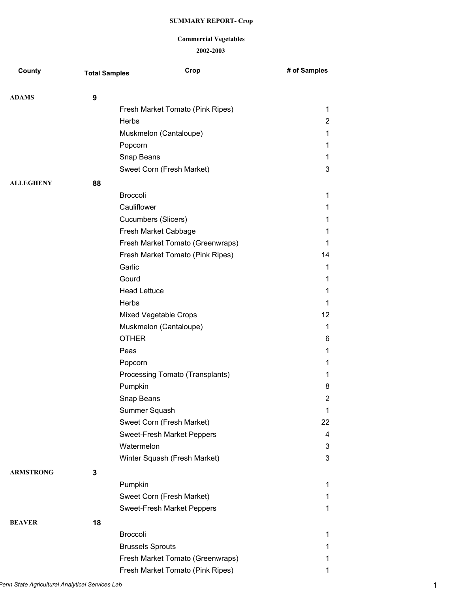#### **Commercial Vegetables**

| County           | <b>Total Samples</b> | Crop                             | # of Samples   |
|------------------|----------------------|----------------------------------|----------------|
| <b>ADAMS</b>     | 9                    |                                  |                |
|                  |                      | Fresh Market Tomato (Pink Ripes) | 1.             |
|                  |                      | Herbs                            | $\overline{2}$ |
|                  |                      | Muskmelon (Cantaloupe)           | 1              |
|                  |                      | Popcorn                          | 1              |
|                  |                      | Snap Beans                       | 1              |
|                  |                      | Sweet Corn (Fresh Market)        | 3              |
| <b>ALLEGHENY</b> | 88                   |                                  |                |
|                  |                      | <b>Broccoli</b>                  | 1              |
|                  |                      | Cauliflower                      | 1              |
|                  |                      | Cucumbers (Slicers)              | 1              |
|                  |                      | Fresh Market Cabbage             | 1              |
|                  |                      | Fresh Market Tomato (Greenwraps) | 1              |
|                  |                      | Fresh Market Tomato (Pink Ripes) | 14             |
|                  |                      | Garlic                           | 1              |
|                  |                      | Gourd                            | 1              |
|                  |                      | <b>Head Lettuce</b>              | 1              |
|                  |                      | Herbs                            | 1              |
|                  |                      | Mixed Vegetable Crops            | 12             |
|                  |                      | Muskmelon (Cantaloupe)           | $\mathbf 1$    |
|                  |                      | <b>OTHER</b>                     | 6              |
|                  |                      | Peas                             | 1              |
|                  |                      | Popcorn                          | 1              |
|                  |                      | Processing Tomato (Transplants)  | 1              |
|                  |                      | Pumpkin                          | 8              |
|                  |                      | Snap Beans                       | 2              |
|                  |                      | Summer Squash                    | 1              |
|                  |                      | Sweet Corn (Fresh Market)        | 22             |
|                  |                      | Sweet-Fresh Market Peppers       | 4              |
|                  |                      | Watermelon                       | 3              |
|                  |                      | Winter Squash (Fresh Market)     | 3              |
| <b>ARMSTRONG</b> | 3                    |                                  |                |
|                  |                      | Pumpkin                          | 1              |
|                  |                      | Sweet Corn (Fresh Market)        | 1              |
|                  |                      | Sweet-Fresh Market Peppers       | 1.             |
| <b>BEAVER</b>    | 18                   |                                  |                |
|                  |                      | <b>Broccoli</b>                  | 1              |
|                  |                      | <b>Brussels Sprouts</b>          | 1.             |
|                  |                      | Fresh Market Tomato (Greenwraps) | 1.             |
|                  |                      | Fresh Market Tomato (Pink Ripes) | 1              |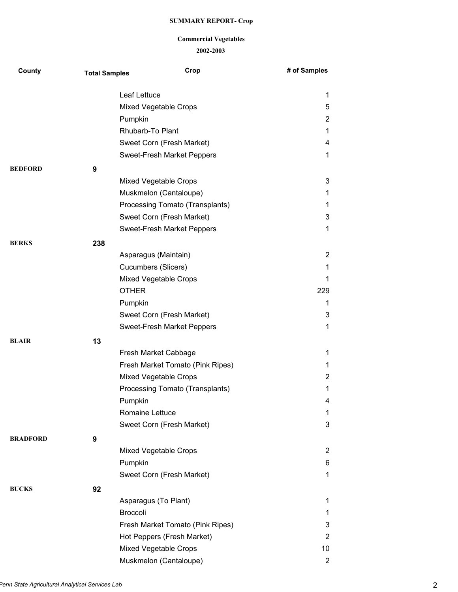#### **Commercial Vegetables**

| County          | <b>Total Samples</b> | Crop                                                            | # of Samples        |
|-----------------|----------------------|-----------------------------------------------------------------|---------------------|
|                 |                      | Leaf Lettuce                                                    | 1                   |
|                 |                      | Mixed Vegetable Crops                                           | 5                   |
|                 |                      | Pumpkin                                                         | $\overline{2}$      |
|                 |                      | Rhubarb-To Plant                                                | 1                   |
|                 |                      | Sweet Corn (Fresh Market)                                       | 4                   |
|                 |                      | <b>Sweet-Fresh Market Peppers</b>                               | 1                   |
| <b>BEDFORD</b>  | 9                    |                                                                 |                     |
|                 |                      | <b>Mixed Vegetable Crops</b>                                    | 3                   |
|                 |                      | Muskmelon (Cantaloupe)                                          | 1                   |
|                 |                      | Processing Tomato (Transplants)                                 | 1                   |
|                 |                      | Sweet Corn (Fresh Market)                                       | 3                   |
|                 |                      | Sweet-Fresh Market Peppers                                      | 1                   |
| <b>BERKS</b>    | 238                  |                                                                 |                     |
|                 |                      | Asparagus (Maintain)                                            | $\overline{2}$      |
|                 |                      | Cucumbers (Slicers)                                             | 1                   |
|                 |                      | Mixed Vegetable Crops                                           | 1                   |
|                 |                      | <b>OTHER</b>                                                    | 229                 |
|                 |                      | Pumpkin                                                         | 1                   |
|                 |                      | Sweet Corn (Fresh Market)                                       | 3                   |
|                 |                      | Sweet-Fresh Market Peppers                                      | 1                   |
|                 |                      |                                                                 |                     |
| <b>BLAIR</b>    | 13                   |                                                                 | 1                   |
|                 |                      | Fresh Market Cabbage                                            |                     |
|                 |                      | Fresh Market Tomato (Pink Ripes)                                | 1                   |
|                 |                      | <b>Mixed Vegetable Crops</b><br>Processing Tomato (Transplants) | $\overline{2}$<br>1 |
|                 |                      | Pumpkin                                                         | 4                   |
|                 |                      | Romaine Lettuce                                                 | 1                   |
|                 |                      | Sweet Corn (Fresh Market)                                       | 3                   |
|                 |                      |                                                                 |                     |
| <b>BRADFORD</b> | 9                    |                                                                 |                     |
|                 |                      | Mixed Vegetable Crops                                           | $\overline{2}$      |
|                 |                      | Pumpkin                                                         | 6                   |
|                 |                      | Sweet Corn (Fresh Market)                                       | 1                   |
| <b>BUCKS</b>    | 92                   |                                                                 |                     |
|                 |                      | Asparagus (To Plant)                                            | 1                   |
|                 |                      | <b>Broccoli</b>                                                 | 1                   |
|                 |                      | Fresh Market Tomato (Pink Ripes)                                | 3                   |
|                 |                      | Hot Peppers (Fresh Market)                                      | $\overline{2}$      |
|                 |                      | Mixed Vegetable Crops                                           | 10                  |
|                 |                      | Muskmelon (Cantaloupe)                                          | $\overline{2}$      |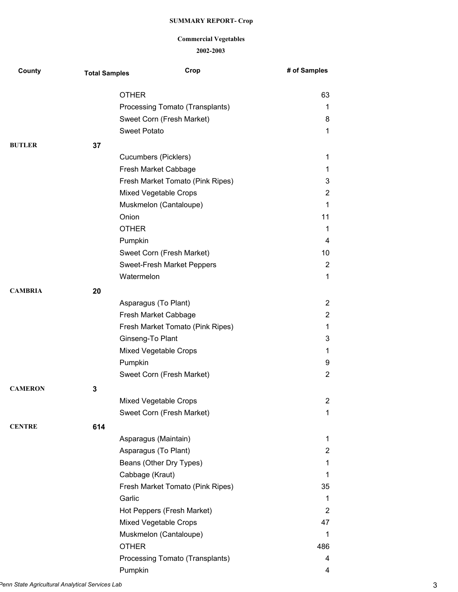# **Commercial Vegetables**

| County         | <b>Total Samples</b> | Crop                             | # of Samples          |
|----------------|----------------------|----------------------------------|-----------------------|
|                |                      | <b>OTHER</b>                     | 63                    |
|                |                      | Processing Tomato (Transplants)  | 1                     |
|                |                      | Sweet Corn (Fresh Market)        | 8                     |
|                |                      | <b>Sweet Potato</b>              | 1                     |
| <b>BUTLER</b>  | 37                   |                                  |                       |
|                |                      | Cucumbers (Picklers)             | 1                     |
|                |                      | Fresh Market Cabbage             | 1                     |
|                |                      | Fresh Market Tomato (Pink Ripes) | 3                     |
|                |                      | Mixed Vegetable Crops            | 2                     |
|                |                      | Muskmelon (Cantaloupe)           | 1                     |
|                |                      | Onion                            | 11                    |
|                |                      | <b>OTHER</b>                     | 1                     |
|                |                      | Pumpkin                          | 4                     |
|                |                      | Sweet Corn (Fresh Market)        | 10                    |
|                |                      | Sweet-Fresh Market Peppers       | $\overline{2}$        |
|                |                      | Watermelon                       | 1                     |
| <b>CAMBRIA</b> | 20                   |                                  |                       |
|                |                      | Asparagus (To Plant)             | $\overline{2}$        |
|                |                      | Fresh Market Cabbage             | $\mathbf{2}^{\prime}$ |
|                |                      | Fresh Market Tomato (Pink Ripes) | 1                     |
|                |                      | Ginseng-To Plant                 | 3                     |
|                |                      | <b>Mixed Vegetable Crops</b>     | 1                     |
|                |                      | Pumpkin                          | 9                     |
|                |                      | Sweet Corn (Fresh Market)        | 2                     |
| <b>CAMERON</b> | 3                    |                                  |                       |
|                |                      | Mixed Vegetable Crops            | 2                     |
|                |                      | Sweet Corn (Fresh Market)        | $\mathbf 1$           |
| <b>CENTRE</b>  | 614                  |                                  |                       |
|                |                      | Asparagus (Maintain)             | 1                     |
|                |                      | Asparagus (To Plant)             | 2                     |
|                |                      | Beans (Other Dry Types)          | 1                     |
|                |                      | Cabbage (Kraut)                  | 1                     |
|                |                      | Fresh Market Tomato (Pink Ripes) | 35                    |
|                |                      | Garlic                           | 1                     |
|                |                      | Hot Peppers (Fresh Market)       | 2                     |
|                |                      | <b>Mixed Vegetable Crops</b>     | 47                    |
|                |                      | Muskmelon (Cantaloupe)           | 1                     |
|                |                      | <b>OTHER</b>                     | 486                   |
|                |                      | Processing Tomato (Transplants)  | 4                     |
|                |                      | Pumpkin                          | 4                     |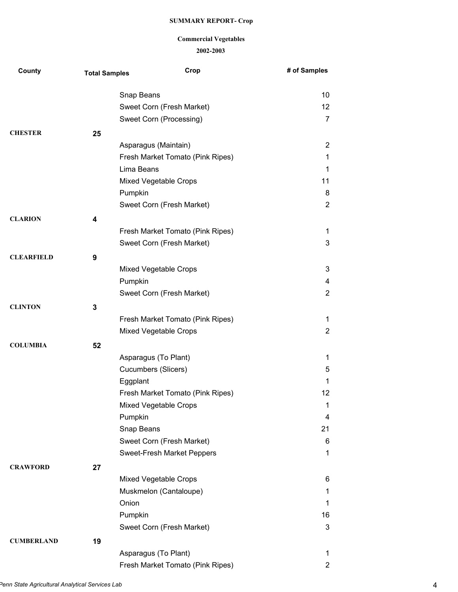# **Commercial Vegetables**

| County            | <b>Total Samples</b> | Crop                             | # of Samples    |
|-------------------|----------------------|----------------------------------|-----------------|
|                   |                      | Snap Beans                       | 10              |
|                   |                      | Sweet Corn (Fresh Market)        | 12 <sub>2</sub> |
|                   |                      | Sweet Corn (Processing)          | $\overline{7}$  |
|                   |                      |                                  |                 |
| <b>CHESTER</b>    | 25                   |                                  |                 |
|                   |                      | Asparagus (Maintain)             | $\overline{2}$  |
|                   |                      | Fresh Market Tomato (Pink Ripes) | 1               |
|                   |                      | Lima Beans                       | $\mathbf{1}$    |
|                   |                      | Mixed Vegetable Crops            | 11              |
|                   |                      | Pumpkin                          | 8               |
|                   |                      | Sweet Corn (Fresh Market)        | $\overline{2}$  |
| <b>CLARION</b>    | 4                    |                                  |                 |
|                   |                      | Fresh Market Tomato (Pink Ripes) | $\mathbf 1$     |
|                   |                      | Sweet Corn (Fresh Market)        | 3               |
| <b>CLEARFIELD</b> | 9                    |                                  |                 |
|                   |                      | <b>Mixed Vegetable Crops</b>     | 3               |
|                   |                      | Pumpkin                          | 4               |
|                   |                      | Sweet Corn (Fresh Market)        | $\overline{2}$  |
| <b>CLINTON</b>    | 3                    |                                  |                 |
|                   |                      | Fresh Market Tomato (Pink Ripes) | $\mathbf{1}$    |
|                   |                      | Mixed Vegetable Crops            | $\overline{2}$  |
| <b>COLUMBIA</b>   | 52                   |                                  |                 |
|                   |                      | Asparagus (To Plant)             | $\mathbf{1}$    |
|                   |                      | Cucumbers (Slicers)              | 5               |
|                   |                      | Eggplant                         | 1               |
|                   |                      | Fresh Market Tomato (Pink Ripes) | 12              |
|                   |                      | Mixed Vegetable Crops            | 1               |
|                   |                      | Pumpkin                          | 4               |
|                   |                      | Snap Beans                       | 21              |
|                   |                      | Sweet Corn (Fresh Market)        | 6               |
|                   |                      | Sweet-Fresh Market Peppers       | 1               |
| <b>CRAWFORD</b>   | 27                   |                                  |                 |
|                   |                      | <b>Mixed Vegetable Crops</b>     | 6               |
|                   |                      | Muskmelon (Cantaloupe)           | 1               |
|                   |                      | Onion                            | 1               |
|                   |                      | Pumpkin                          | 16              |
|                   |                      | Sweet Corn (Fresh Market)        | 3               |
|                   |                      |                                  |                 |
| <b>CUMBERLAND</b> | 19                   |                                  |                 |
|                   |                      | Asparagus (To Plant)             | $\mathbf{1}$    |
|                   |                      | Fresh Market Tomato (Pink Ripes) | $\overline{2}$  |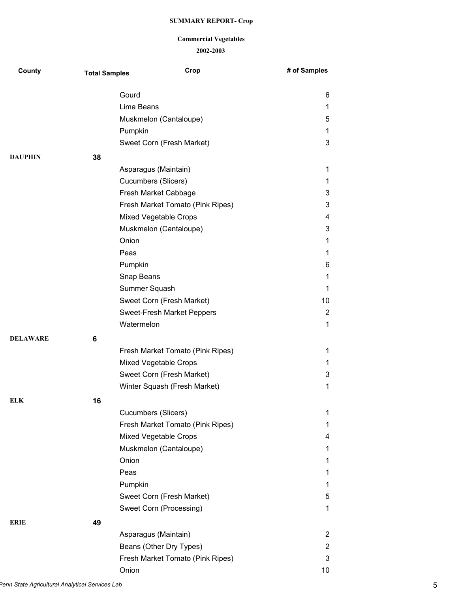#### **Commercial Vegetables**

| County          | <b>Total Samples</b> | Crop                             | # of Samples   |
|-----------------|----------------------|----------------------------------|----------------|
|                 |                      | Gourd                            | 6              |
|                 |                      | Lima Beans                       | 1              |
|                 |                      | Muskmelon (Cantaloupe)           | 5              |
|                 |                      | Pumpkin                          | 1              |
|                 |                      | Sweet Corn (Fresh Market)        | 3              |
| <b>DAUPHIN</b>  | 38                   |                                  |                |
|                 |                      | Asparagus (Maintain)             | 1              |
|                 |                      | <b>Cucumbers (Slicers)</b>       | 1              |
|                 |                      | Fresh Market Cabbage             | 3              |
|                 |                      | Fresh Market Tomato (Pink Ripes) | 3              |
|                 |                      | <b>Mixed Vegetable Crops</b>     | 4              |
|                 |                      | Muskmelon (Cantaloupe)           | 3              |
|                 |                      | Onion                            | 1              |
|                 |                      | Peas                             | 1              |
|                 |                      | Pumpkin                          | 6              |
|                 |                      | Snap Beans                       | 1              |
|                 |                      | Summer Squash                    | 1              |
|                 |                      | Sweet Corn (Fresh Market)        | 10             |
|                 |                      | Sweet-Fresh Market Peppers       | $\overline{2}$ |
|                 |                      | Watermelon                       | 1              |
| <b>DELAWARE</b> | 6                    |                                  |                |
|                 |                      | Fresh Market Tomato (Pink Ripes) | 1              |
|                 |                      | Mixed Vegetable Crops            | 1              |
|                 |                      | Sweet Corn (Fresh Market)        | 3              |
|                 |                      | Winter Squash (Fresh Market)     | 1              |
| ELK             | 16                   |                                  |                |
|                 |                      | <b>Cucumbers (Slicers)</b>       | 1              |
|                 |                      | Fresh Market Tomato (Pink Ripes) | 1              |
|                 |                      | <b>Mixed Vegetable Crops</b>     | 4              |
|                 |                      | Muskmelon (Cantaloupe)           | 1              |
|                 |                      | Onion                            | 1              |
|                 |                      | Peas                             | 1              |
|                 |                      | Pumpkin                          | 1              |
|                 |                      | Sweet Corn (Fresh Market)        | 5              |
|                 |                      | Sweet Corn (Processing)          | 1              |
| <b>ERIE</b>     | 49                   |                                  |                |
|                 |                      | Asparagus (Maintain)             | 2              |
|                 |                      | Beans (Other Dry Types)          | 2              |
|                 |                      | Fresh Market Tomato (Pink Ripes) | 3              |
|                 |                      | Onion                            | 10             |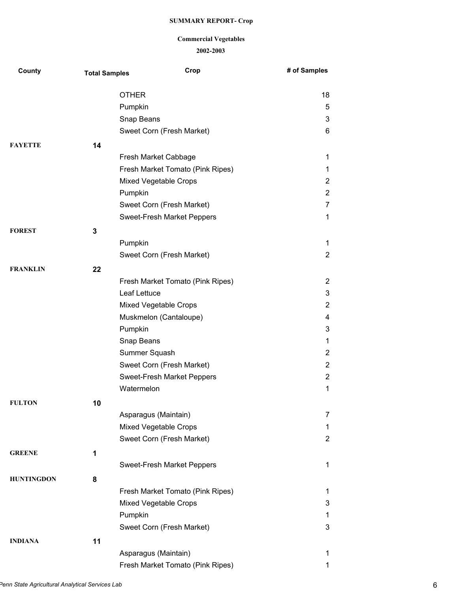#### **Commercial Vegetables**

| County            | <b>Total Samples</b> | Crop                             | # of Samples   |
|-------------------|----------------------|----------------------------------|----------------|
|                   |                      | <b>OTHER</b>                     | 18             |
|                   |                      | Pumpkin                          | 5              |
|                   |                      | Snap Beans                       | 3              |
|                   |                      | Sweet Corn (Fresh Market)        | 6              |
| <b>FAYETTE</b>    | 14                   |                                  |                |
|                   |                      | Fresh Market Cabbage             | 1              |
|                   |                      | Fresh Market Tomato (Pink Ripes) | 1              |
|                   |                      | Mixed Vegetable Crops            | 2              |
|                   |                      | Pumpkin                          | $\overline{2}$ |
|                   |                      | Sweet Corn (Fresh Market)        | $\overline{7}$ |
|                   |                      | Sweet-Fresh Market Peppers       | $\mathbf 1$    |
| <b>FOREST</b>     | 3                    |                                  |                |
|                   |                      | Pumpkin                          | 1              |
|                   |                      | Sweet Corn (Fresh Market)        | $\overline{2}$ |
| <b>FRANKLIN</b>   | 22                   |                                  |                |
|                   |                      | Fresh Market Tomato (Pink Ripes) | $\overline{2}$ |
|                   |                      | Leaf Lettuce                     | 3              |
|                   |                      | Mixed Vegetable Crops            | $\overline{2}$ |
|                   |                      | Muskmelon (Cantaloupe)           | 4              |
|                   |                      | Pumpkin                          | 3              |
|                   |                      | Snap Beans                       | 1              |
|                   |                      | Summer Squash                    | $\overline{2}$ |
|                   |                      | Sweet Corn (Fresh Market)        | 2              |
|                   |                      | Sweet-Fresh Market Peppers       | $\overline{2}$ |
|                   |                      | Watermelon                       | 1              |
| <b>FULTON</b>     | 10                   |                                  |                |
|                   |                      | Asparagus (Maintain)             | 7              |
|                   |                      | Mixed Vegetable Crops            | 1              |
|                   |                      | Sweet Corn (Fresh Market)        | $\overline{c}$ |
| <b>GREENE</b>     | 1                    |                                  |                |
|                   |                      | Sweet-Fresh Market Peppers       | 1              |
| <b>HUNTINGDON</b> | 8                    |                                  |                |
|                   |                      | Fresh Market Tomato (Pink Ripes) | 1              |
|                   |                      | <b>Mixed Vegetable Crops</b>     | 3              |
|                   |                      | Pumpkin                          | 1              |
|                   |                      | Sweet Corn (Fresh Market)        | 3              |
| <b>INDIANA</b>    | 11                   |                                  |                |
|                   |                      | Asparagus (Maintain)             | 1              |
|                   |                      | Fresh Market Tomato (Pink Ripes) | 1              |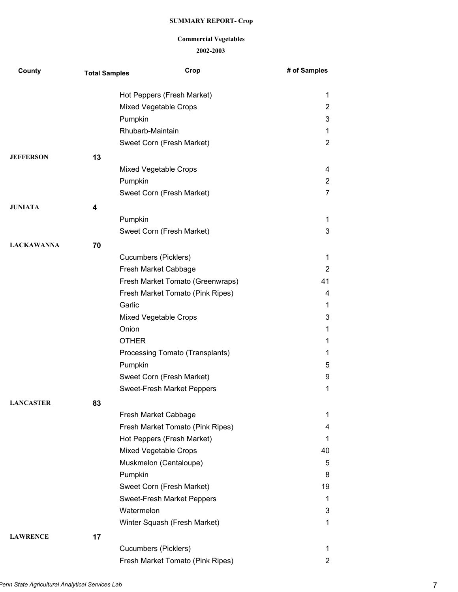#### **Commercial Vegetables**

| County            | <b>Total Samples</b> | Crop                              | # of Samples   |
|-------------------|----------------------|-----------------------------------|----------------|
|                   |                      | Hot Peppers (Fresh Market)        | 1              |
|                   |                      | Mixed Vegetable Crops             | 2              |
|                   |                      | Pumpkin                           | 3              |
|                   |                      | Rhubarb-Maintain                  | 1              |
|                   |                      | Sweet Corn (Fresh Market)         | 2              |
| <b>JEFFERSON</b>  | 13                   |                                   |                |
|                   |                      | Mixed Vegetable Crops             | 4              |
|                   |                      | Pumpkin                           | $\overline{2}$ |
|                   |                      | Sweet Corn (Fresh Market)         | 7              |
| <b>JUNIATA</b>    | 4                    |                                   |                |
|                   |                      | Pumpkin                           | 1              |
|                   |                      | Sweet Corn (Fresh Market)         | 3              |
| <b>LACKAWANNA</b> | 70                   |                                   |                |
|                   |                      | <b>Cucumbers (Picklers)</b>       | 1              |
|                   |                      | Fresh Market Cabbage              | $\overline{2}$ |
|                   |                      | Fresh Market Tomato (Greenwraps)  | 41             |
|                   |                      | Fresh Market Tomato (Pink Ripes)  | 4              |
|                   |                      | Garlic                            | 1              |
|                   |                      | Mixed Vegetable Crops             | 3              |
|                   |                      | Onion                             | 1              |
|                   |                      | <b>OTHER</b>                      | 1              |
|                   |                      | Processing Tomato (Transplants)   | 1              |
|                   |                      | Pumpkin                           | 5              |
|                   |                      | Sweet Corn (Fresh Market)         | 9              |
|                   |                      | <b>Sweet-Fresh Market Peppers</b> | 1              |
| <b>LANCASTER</b>  | 83                   |                                   |                |
|                   |                      | Fresh Market Cabbage              | 1              |
|                   |                      | Fresh Market Tomato (Pink Ripes)  | 4              |
|                   |                      | Hot Peppers (Fresh Market)        | 1              |
|                   |                      | Mixed Vegetable Crops             | 40             |
|                   |                      | Muskmelon (Cantaloupe)            | 5              |
|                   |                      | Pumpkin                           | 8              |
|                   |                      | Sweet Corn (Fresh Market)         | 19             |
|                   |                      | Sweet-Fresh Market Peppers        | 1              |
|                   |                      | Watermelon                        | 3              |
|                   |                      | Winter Squash (Fresh Market)      | 1              |
| <b>LAWRENCE</b>   | 17                   |                                   |                |
|                   |                      | <b>Cucumbers (Picklers)</b>       | 1              |
|                   |                      | Fresh Market Tomato (Pink Ripes)  | $\overline{2}$ |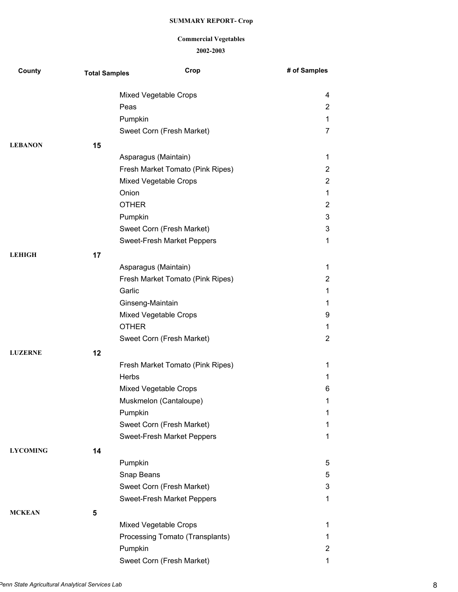#### **Commercial Vegetables**

| County          | <b>Total Samples</b> | Crop                             | # of Samples   |
|-----------------|----------------------|----------------------------------|----------------|
|                 |                      | Mixed Vegetable Crops            | 4              |
|                 |                      | Peas                             | $\overline{2}$ |
|                 |                      | Pumpkin                          | $\mathbf{1}$   |
|                 |                      | Sweet Corn (Fresh Market)        | 7              |
| <b>LEBANON</b>  | 15                   |                                  |                |
|                 |                      | Asparagus (Maintain)             | $\mathbf 1$    |
|                 |                      | Fresh Market Tomato (Pink Ripes) | $\overline{2}$ |
|                 |                      | Mixed Vegetable Crops            | $\overline{2}$ |
|                 |                      | Onion                            | $\mathbf{1}$   |
|                 |                      | <b>OTHER</b>                     | $\overline{2}$ |
|                 |                      | Pumpkin                          | 3              |
|                 |                      | Sweet Corn (Fresh Market)        | 3              |
|                 |                      | Sweet-Fresh Market Peppers       | 1              |
| <b>LEHIGH</b>   | 17                   |                                  |                |
|                 |                      | Asparagus (Maintain)             | 1              |
|                 |                      | Fresh Market Tomato (Pink Ripes) | $\overline{2}$ |
|                 |                      | Garlic                           | 1              |
|                 |                      | Ginseng-Maintain                 | 1              |
|                 |                      | Mixed Vegetable Crops            | 9              |
|                 |                      | <b>OTHER</b>                     | $\mathbf{1}$   |
|                 |                      | Sweet Corn (Fresh Market)        | $\overline{2}$ |
| <b>LUZERNE</b>  | 12                   |                                  |                |
|                 |                      | Fresh Market Tomato (Pink Ripes) | 1              |
|                 |                      | Herbs                            | 1              |
|                 |                      | Mixed Vegetable Crops            | 6              |
|                 |                      | Muskmelon (Cantaloupe)           | 1              |
|                 |                      | Pumpkin                          | 1              |
|                 |                      | Sweet Corn (Fresh Market)        | 1              |
|                 |                      | Sweet-Fresh Market Peppers       | 1              |
| <b>LYCOMING</b> | 14                   |                                  |                |
|                 |                      | Pumpkin                          | 5              |
|                 |                      | Snap Beans                       | 5              |
|                 |                      | Sweet Corn (Fresh Market)        | 3              |
|                 |                      | Sweet-Fresh Market Peppers       | 1              |
| <b>MCKEAN</b>   | 5                    |                                  |                |
|                 |                      | Mixed Vegetable Crops            | 1              |
|                 |                      | Processing Tomato (Transplants)  | 1              |
|                 |                      | Pumpkin                          | $\overline{2}$ |
|                 |                      | Sweet Corn (Fresh Market)        | 1              |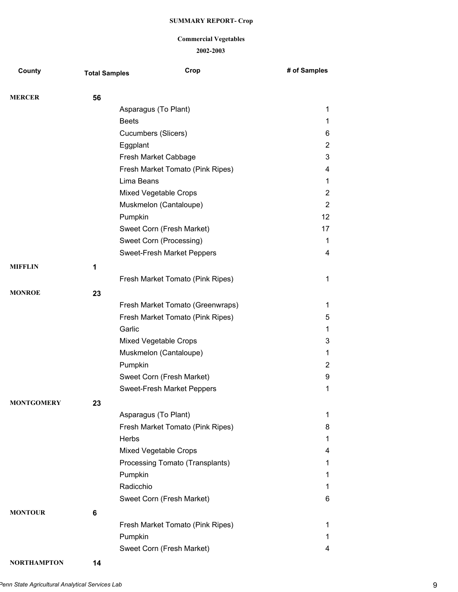#### **Commercial Vegetables**

**2002-2003**

| County            | <b>Total Samples</b> | Crop                                                     | # of Samples      |
|-------------------|----------------------|----------------------------------------------------------|-------------------|
| <b>MERCER</b>     | 56                   |                                                          |                   |
|                   |                      | Asparagus (To Plant)                                     | 1                 |
|                   |                      | <b>Beets</b>                                             | 1                 |
|                   |                      | Cucumbers (Slicers)                                      | 6                 |
|                   |                      | Eggplant                                                 | $\overline{2}$    |
|                   |                      | Fresh Market Cabbage                                     | 3                 |
|                   |                      | Fresh Market Tomato (Pink Ripes)                         | 4                 |
|                   |                      | Lima Beans                                               | $\mathbf 1$       |
|                   |                      | Mixed Vegetable Crops                                    | $\overline{2}$    |
|                   |                      | Muskmelon (Cantaloupe)                                   | $\overline{2}$    |
|                   |                      | Pumpkin                                                  | $12 \overline{ }$ |
|                   |                      | Sweet Corn (Fresh Market)                                | 17                |
|                   |                      | Sweet Corn (Processing)                                  | 1                 |
|                   |                      | Sweet-Fresh Market Peppers                               | 4                 |
| <b>MIFFLIN</b>    | 1                    |                                                          |                   |
|                   |                      | Fresh Market Tomato (Pink Ripes)                         | 1                 |
| <b>MONROE</b>     | 23                   |                                                          |                   |
|                   |                      | Fresh Market Tomato (Greenwraps)                         | $\mathbf{1}$      |
|                   |                      | Fresh Market Tomato (Pink Ripes)                         | 5                 |
|                   |                      | Garlic                                                   | 1                 |
|                   |                      | Mixed Vegetable Crops                                    | 3                 |
|                   |                      | Muskmelon (Cantaloupe)                                   | 1                 |
|                   |                      | Pumpkin                                                  | $\overline{2}$    |
|                   |                      | Sweet Corn (Fresh Market)                                | 9                 |
|                   |                      | <b>Sweet-Fresh Market Peppers</b>                        | 1                 |
|                   |                      |                                                          |                   |
| <b>MONTGOMERY</b> | 23                   |                                                          |                   |
|                   |                      | Asparagus (To Plant)                                     | 1                 |
|                   |                      | Fresh Market Tomato (Pink Ripes)<br>Herbs                | 8<br>1            |
|                   |                      |                                                          | 4                 |
|                   |                      | Mixed Vegetable Crops<br>Processing Tomato (Transplants) | 1                 |
|                   |                      | Pumpkin                                                  | 1                 |
|                   |                      | Radicchio                                                | 1                 |
|                   |                      | Sweet Corn (Fresh Market)                                | 6                 |
|                   |                      |                                                          |                   |
| <b>MONTOUR</b>    | 6                    | Fresh Market Tomato (Pink Ripes)                         | 1                 |
|                   |                      | Pumpkin                                                  | 1                 |
|                   |                      | Sweet Corn (Fresh Market)                                | 4                 |
|                   |                      |                                                          |                   |

**NORTHAMPTON 14**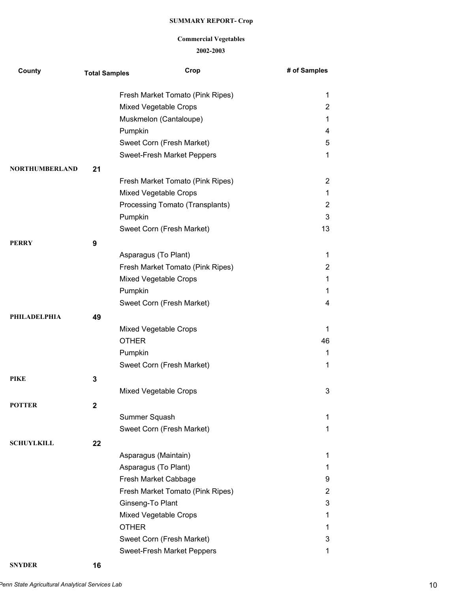#### **Commercial Vegetables**

#### **2002-2003**

| County                | <b>Total Samples</b> | Crop                             | # of Samples |
|-----------------------|----------------------|----------------------------------|--------------|
|                       |                      | Fresh Market Tomato (Pink Ripes) | 1            |
|                       |                      | Mixed Vegetable Crops            | 2            |
|                       |                      | Muskmelon (Cantaloupe)           | 1            |
|                       |                      | Pumpkin                          | 4            |
|                       |                      | Sweet Corn (Fresh Market)        | 5            |
|                       |                      | Sweet-Fresh Market Peppers       | 1            |
| <b>NORTHUMBERLAND</b> | 21                   |                                  |              |
|                       |                      | Fresh Market Tomato (Pink Ripes) | 2            |
|                       |                      | <b>Mixed Vegetable Crops</b>     | 1            |
|                       |                      | Processing Tomato (Transplants)  | 2            |
|                       |                      | Pumpkin                          | 3            |
|                       |                      | Sweet Corn (Fresh Market)        | 13           |
| <b>PERRY</b>          | 9                    |                                  |              |
|                       |                      | Asparagus (To Plant)             | 1            |
|                       |                      | Fresh Market Tomato (Pink Ripes) | 2            |
|                       |                      | Mixed Vegetable Crops            | 1            |
|                       |                      | Pumpkin                          | 1            |
|                       |                      | Sweet Corn (Fresh Market)        | 4            |
| <b>PHILADELPHIA</b>   | 49                   |                                  |              |
|                       |                      | <b>Mixed Vegetable Crops</b>     | 1            |
|                       |                      | <b>OTHER</b>                     | 46           |
|                       |                      | Pumpkin                          | 1            |
|                       |                      | Sweet Corn (Fresh Market)        | 1            |
| <b>PIKE</b>           | 3                    |                                  |              |
|                       |                      | Mixed Vegetable Crops            | 3            |
| <b>POTTER</b>         | 2                    |                                  |              |
|                       |                      | Summer Squash                    | 1            |
|                       |                      | Sweet Corn (Fresh Market)        | 1            |
| <b>SCHUYLKILL</b>     |                      |                                  |              |
|                       | 22                   | Asparagus (Maintain)             | 1            |
|                       |                      | Asparagus (To Plant)             | 1            |
|                       |                      | Fresh Market Cabbage             | 9            |
|                       |                      | Fresh Market Tomato (Pink Ripes) | 2            |
|                       |                      | Ginseng-To Plant                 | 3            |
|                       |                      | Mixed Vegetable Crops            | 1            |
|                       |                      | <b>OTHER</b>                     | 1            |
|                       |                      | Sweet Corn (Fresh Market)        | 3            |
|                       |                      | Sweet-Fresh Market Peppers       | 1            |

**SNYDER 16**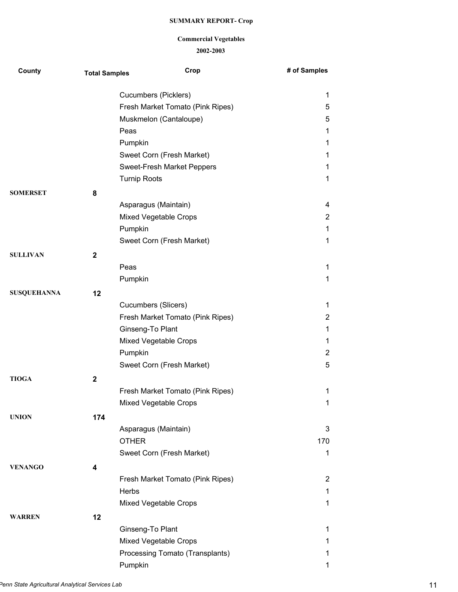# **Commercial Vegetables**

| County             | <b>Total Samples</b>    |                      | Crop                             | # of Samples        |
|--------------------|-------------------------|----------------------|----------------------------------|---------------------|
|                    |                         | Cucumbers (Picklers) |                                  | 1                   |
|                    |                         |                      | Fresh Market Tomato (Pink Ripes) | 5                   |
|                    |                         |                      | Muskmelon (Cantaloupe)           | 5                   |
|                    |                         | Peas                 |                                  | 1                   |
|                    |                         | Pumpkin              |                                  | 1                   |
|                    |                         |                      | Sweet Corn (Fresh Market)        | 1                   |
|                    |                         |                      | Sweet-Fresh Market Peppers       | 1                   |
|                    |                         | <b>Turnip Roots</b>  |                                  | 1                   |
| <b>SOMERSET</b>    | 8                       |                      |                                  |                     |
|                    |                         | Asparagus (Maintain) |                                  | 4                   |
|                    |                         |                      | <b>Mixed Vegetable Crops</b>     | $\overline{2}$      |
|                    |                         | Pumpkin              |                                  | 1                   |
|                    |                         |                      | Sweet Corn (Fresh Market)        | 1                   |
| <b>SULLIVAN</b>    | $\mathbf 2$             |                      |                                  |                     |
|                    |                         | Peas                 |                                  | 1                   |
|                    |                         | Pumpkin              |                                  | 1                   |
|                    |                         |                      |                                  |                     |
| <b>SUSQUEHANNA</b> | 12                      |                      |                                  |                     |
|                    |                         | Cucumbers (Slicers)  |                                  | 1                   |
|                    |                         |                      | Fresh Market Tomato (Pink Ripes) | $\overline{c}$      |
|                    |                         | Ginseng-To Plant     |                                  | 1                   |
|                    |                         |                      | Mixed Vegetable Crops            | 1                   |
|                    |                         | Pumpkin              |                                  | $\overline{2}$<br>5 |
|                    |                         |                      | Sweet Corn (Fresh Market)        |                     |
| <b>TIOGA</b>       | $\overline{\mathbf{2}}$ |                      |                                  |                     |
|                    |                         |                      | Fresh Market Tomato (Pink Ripes) | 1                   |
|                    |                         |                      | <b>Mixed Vegetable Crops</b>     | 1                   |
| <b>UNION</b>       | 174                     |                      |                                  |                     |
|                    |                         | Asparagus (Maintain) |                                  | 3                   |
|                    |                         | <b>OTHER</b>         |                                  | 170                 |
|                    |                         |                      | Sweet Corn (Fresh Market)        | 1                   |
| <b>VENANGO</b>     | 4                       |                      |                                  |                     |
|                    |                         |                      | Fresh Market Tomato (Pink Ripes) | $\overline{2}$      |
|                    |                         | Herbs                |                                  | 1                   |
|                    |                         |                      | Mixed Vegetable Crops            | 1                   |
| <b>WARREN</b>      | 12                      |                      |                                  |                     |
|                    |                         | Ginseng-To Plant     |                                  | 1                   |
|                    |                         |                      | Mixed Vegetable Crops            | 1                   |
|                    |                         |                      | Processing Tomato (Transplants)  | 1                   |
|                    |                         | Pumpkin              |                                  | 1                   |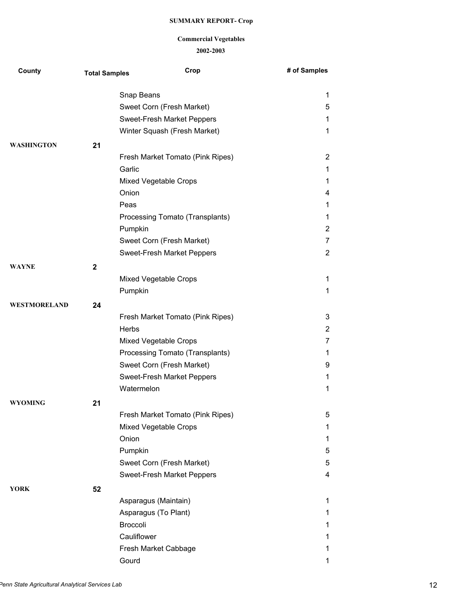# **Commercial Vegetables**

| County            | <b>Total Samples</b> | Crop                              | # of Samples   |
|-------------------|----------------------|-----------------------------------|----------------|
|                   |                      | Snap Beans                        | 1              |
|                   |                      | Sweet Corn (Fresh Market)         | 5              |
|                   |                      | <b>Sweet-Fresh Market Peppers</b> | $\mathbf{1}$   |
|                   |                      | Winter Squash (Fresh Market)      | $\mathbf{1}$   |
| <b>WASHINGTON</b> | 21                   |                                   |                |
|                   |                      | Fresh Market Tomato (Pink Ripes)  | $\overline{2}$ |
|                   |                      | Garlic                            | $\mathbf{1}$   |
|                   |                      | Mixed Vegetable Crops             | 1              |
|                   |                      | Onion                             | 4              |
|                   |                      | Peas                              | $\mathbf{1}$   |
|                   |                      | Processing Tomato (Transplants)   | 1              |
|                   |                      | Pumpkin                           | $\overline{2}$ |
|                   |                      | Sweet Corn (Fresh Market)         | 7              |
|                   |                      | Sweet-Fresh Market Peppers        | $\overline{2}$ |
| <b>WAYNE</b>      | $\mathbf 2$          |                                   |                |
|                   |                      | Mixed Vegetable Crops             | $\mathbf{1}$   |
|                   |                      | Pumpkin                           | 1              |
| WESTMORELAND      | 24                   |                                   |                |
|                   |                      | Fresh Market Tomato (Pink Ripes)  | 3              |
|                   |                      | Herbs                             | 2              |
|                   |                      | Mixed Vegetable Crops             | 7              |
|                   |                      | Processing Tomato (Transplants)   | 1              |
|                   |                      | Sweet Corn (Fresh Market)         | 9              |
|                   |                      | Sweet-Fresh Market Peppers        | 1              |
|                   |                      | Watermelon                        | 1              |
| <b>WYOMING</b>    | 21                   |                                   |                |
|                   |                      | Fresh Market Tomato (Pink Ripes)  | 5              |
|                   |                      | Mixed Vegetable Crops             | $\mathbf{1}$   |
|                   |                      | Onion                             | 1              |
|                   |                      | Pumpkin                           | 5              |
|                   |                      | Sweet Corn (Fresh Market)         | 5              |
|                   |                      | Sweet-Fresh Market Peppers        | 4              |
| <b>YORK</b>       | 52                   |                                   |                |
|                   |                      | Asparagus (Maintain)              | $\mathbf{1}$   |
|                   |                      | Asparagus (To Plant)              | 1              |
|                   |                      | <b>Broccoli</b>                   | 1              |
|                   |                      | Cauliflower                       | 1              |
|                   |                      | Fresh Market Cabbage              | 1              |
|                   |                      | Gourd                             | 1              |